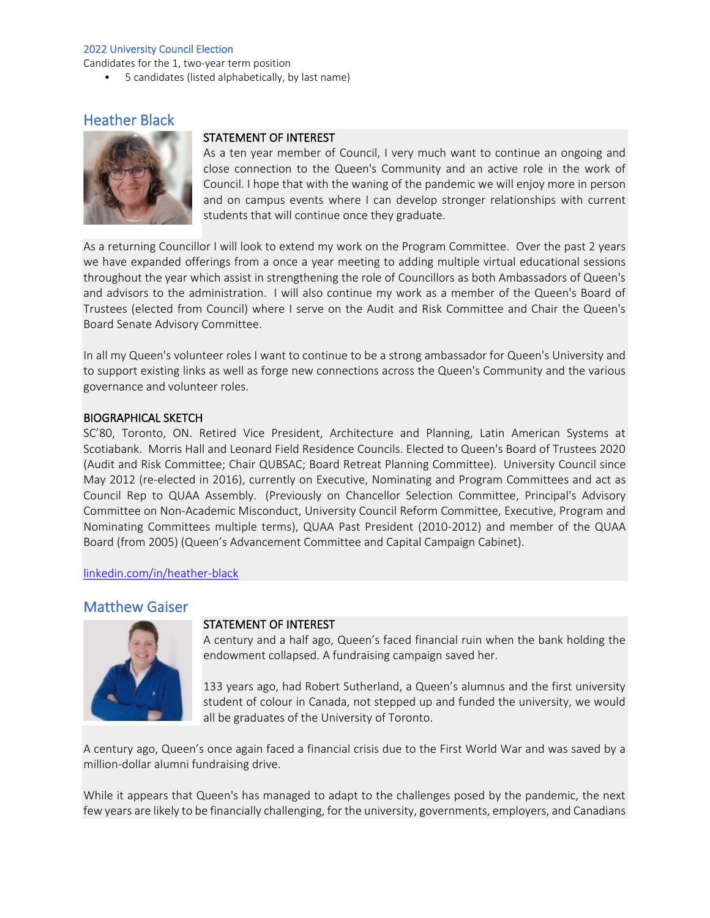Candidates for the 1, two-year term position

• 5 candidates (listed alphabetically, by last name)

# Heather Black



## STATEMENT OF INTEREST

As a ten year member of Council, I very much want to continue an ongoing and close connection to the Queen's Community and an active role in the work of Council. I hope that with the waning of the pandemic we will enjoy more in person and on campus events where I can develop stronger relationships with current students that will continue once they graduate.

As a returning Councillor I will look to extend my work on the Program Committee. Over the past 2 years we have expanded offerings from a once a year meeting to adding multiple virtual educational sessions throughout the year which assist in strengthening the role of Councillors as both Ambassadors of Queen's and advisors to the administration. I will also continue my work as a member of the Queen's Board of Trustees (elected from Council) where I serve on the Audit and Risk Committee and Chair the Queen's Board Senate Advisory Committee.

In all my Queen's volunteer roles I want to continue to be a strong ambassador for Queen's University and to support existing links as well as forge new connections across the Queen's Community and the various governance and volunteer roles.

### BIOGRAPHICAL SKETCH

SC'80, Toronto, ON. Retired Vice President, Architecture and Planning, Latin American Systems at Scotiabank. Morris Hall and Leonard Field Residence Councils. Elected to Queen's Board of Trustees 2020 (Audit and Risk Committee; Chair QUBSAC; Board Retreat Planning Committee). University Council since May 2012 (re-elected in 2016), currently on Executive, Nominating and Program Committees and act as Council Rep to QUAA Assembly. (Previously on Chancellor Selection Committee, Principal's Advisory Committee on Non-Academic Misconduct, University Council Reform Committee, Executive, Program and Nominating Committees multiple terms), QUAA Past President (2010-2012) and member of the QUAA Board (from 2005) (Queen's Advancement Committee and Capital Campaign Cabinet).

#### [linkedin.com/in/heather-black](https://www.linkedin.com/in/heather-black-6b93731)

## Matthew Gaiser



#### STATEMENT OF INTEREST

A century and a half ago, Queen's faced financial ruin when the bank holding the endowment collapsed. A fundraising campaign saved her.

133 years ago, had Robert Sutherland, a Queen's alumnus and the first university student of colour in Canada, not stepped up and funded the university, we would all be graduates of the University of Toronto.

A century ago, Queen's once again faced a financial crisis due to the First World War and was saved by a million-dollar alumni fundraising drive.

While it appears that Queen's has managed to adapt to the challenges posed by the pandemic, the next few years are likely to be financially challenging, for the university, governments, employers, and Canadians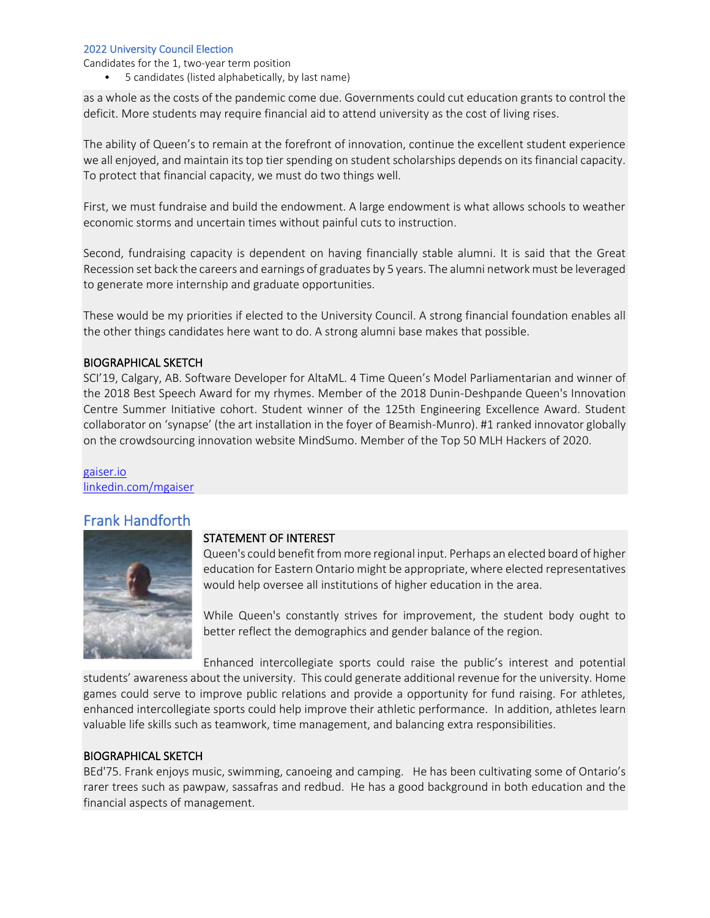Candidates for the 1, two-year term position

• 5 candidates (listed alphabetically, by last name)

as a whole as the costs of the pandemic come due. Governments could cut education grants to control the deficit. More students may require financial aid to attend university as the cost of living rises.

The ability of Queen's to remain at the forefront of innovation, continue the excellent student experience we all enjoyed, and maintain its top tier spending on student scholarships depends on its financial capacity. To protect that financial capacity, we must do two things well.

First, we must fundraise and build the endowment. A large endowment is what allows schools to weather economic storms and uncertain times without painful cuts to instruction.

Second, fundraising capacity is dependent on having financially stable alumni. It is said that the Great Recession set back the careers and earnings of graduates by 5 years. The alumni network must be leveraged to generate more internship and graduate opportunities.

These would be my priorities if elected to the University Council. A strong financial foundation enables all the other things candidates here want to do. A strong alumni base makes that possible.

## BIOGRAPHICAL SKETCH

SCI'19, Calgary, AB. Software Developer for AltaML. 4 Time Queen's Model Parliamentarian and winner of the 2018 Best Speech Award for my rhymes. Member of the 2018 Dunin-Deshpande Queen's Innovation Centre Summer Initiative cohort. Student winner of the 125th Engineering Excellence Award. Student collaborator on 'synapse' (the art installation in the foyer of Beamish-Munro). #1 ranked innovator globally on the crowdsourcing innovation website MindSumo. Member of the Top 50 MLH Hackers of 2020.

[gaiser.io](https://gaiser.io/) [linkedin.com/mgaiser](https://www.linkedin.com/in/mgaiser/)

## Frank Handforth



### STATEMENT OF INTEREST

Queen's could benefit from more regional input. Perhaps an elected board of higher education for Eastern Ontario might be appropriate, where elected representatives would help oversee all institutions of higher education in the area.

While Queen's constantly strives for improvement, the student body ought to better reflect the demographics and gender balance of the region.

Enhanced intercollegiate sports could raise the public's interest and potential students' awareness about the university. This could generate additional revenue for the university. Home games could serve to improve public relations and provide a opportunity for fund raising. For athletes, enhanced intercollegiate sports could help improve their athletic performance. In addition, athletes learn valuable life skills such as teamwork, time management, and balancing extra responsibilities.

### BIOGRAPHICAL SKETCH

BEd'75. Frank enjoys music, swimming, canoeing and camping. He has been cultivating some of Ontario's rarer trees such as pawpaw, sassafras and redbud. He has a good background in both education and the financial aspects of management.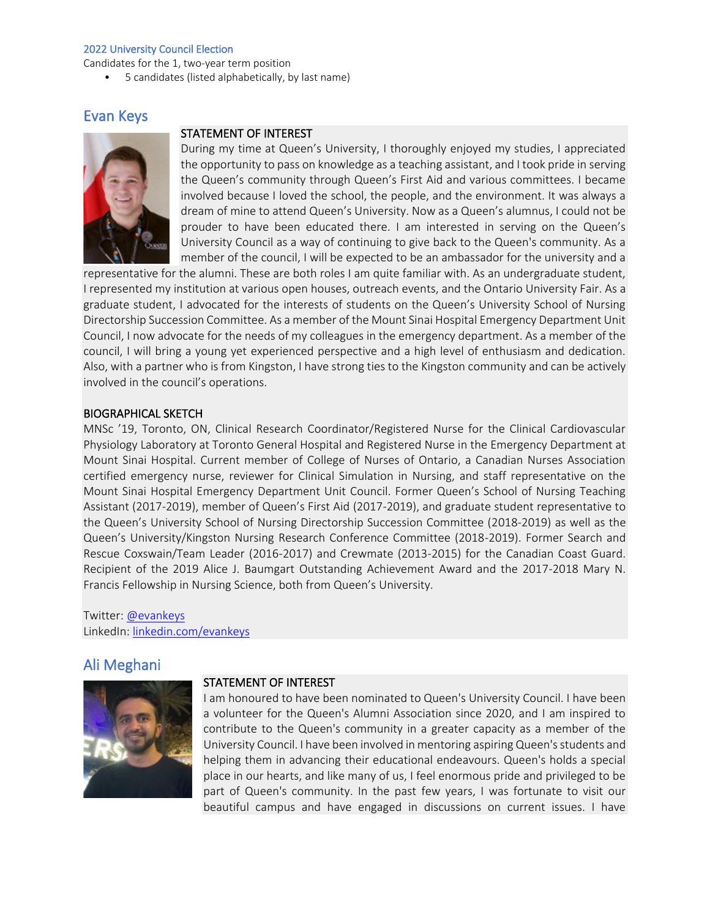Candidates for the 1, two-year term position

• 5 candidates (listed alphabetically, by last name)

## Evan Keys



## STATEMENT OF INTEREST

During my time at Queen's University, I thoroughly enjoyed my studies, I appreciated the opportunity to pass on knowledge as a teaching assistant, and I took pride in serving the Queen's community through Queen's First Aid and various committees. I became involved because I loved the school, the people, and the environment. It was always a dream of mine to attend Queen's University. Now as a Queen's alumnus, I could not be prouder to have been educated there. I am interested in serving on the Queen's University Council as a way of continuing to give back to the Queen's community. As a member of the council, I will be expected to be an ambassador for the university and a

representative for the alumni. These are both roles I am quite familiar with. As an undergraduate student, I represented my institution at various open houses, outreach events, and the Ontario University Fair. As a graduate student, I advocated for the interests of students on the Queen's University School of Nursing Directorship Succession Committee. As a member of the Mount Sinai Hospital Emergency Department Unit Council, I now advocate for the needs of my colleagues in the emergency department. As a member of the council, I will bring a young yet experienced perspective and a high level of enthusiasm and dedication. Also, with a partner who is from Kingston, I have strong ties to the Kingston community and can be actively involved in the council's operations.

### BIOGRAPHICAL SKETCH

MNSc '19, Toronto, ON, Clinical Research Coordinator/Registered Nurse for the Clinical Cardiovascular Physiology Laboratory at Toronto General Hospital and Registered Nurse in the Emergency Department at Mount Sinai Hospital. Current member of College of Nurses of Ontario, a Canadian Nurses Association certified emergency nurse, reviewer for Clinical Simulation in Nursing, and staff representative on the Mount Sinai Hospital Emergency Department Unit Council. Former Queen's School of Nursing Teaching Assistant (2017-2019), member of Queen's First Aid (2017-2019), and graduate student representative to the Queen's University School of Nursing Directorship Succession Committee (2018-2019) as well as the Queen's University/Kingston Nursing Research Conference Committee (2018-2019). Former Search and Rescue Coxswain/Team Leader (2016-2017) and Crewmate (2013-2015) for the Canadian Coast Guard. Recipient of the 2019 Alice J. Baumgart Outstanding Achievement Award and the 2017-2018 Mary N. Francis Fellowship in Nursing Science, both from Queen's University.

Twitter: [@evankeys](https://twitter.com/evankeys)  LinkedIn: [linkedin.com/evankeys](https://www.linkedin.com/in/evankeys)

## Ali Meghani



#### STATEMENT OF INTEREST

I am honoured to have been nominated to Queen's University Council. I have been a volunteer for the Queen's Alumni Association since 2020, and I am inspired to contribute to the Queen's community in a greater capacity as a member of the University Council. I have been involved in mentoring aspiring Queen's students and helping them in advancing their educational endeavours. Queen's holds a special place in our hearts, and like many of us, I feel enormous pride and privileged to be part of Queen's community. In the past few years, I was fortunate to visit our beautiful campus and have engaged in discussions on current issues. I have